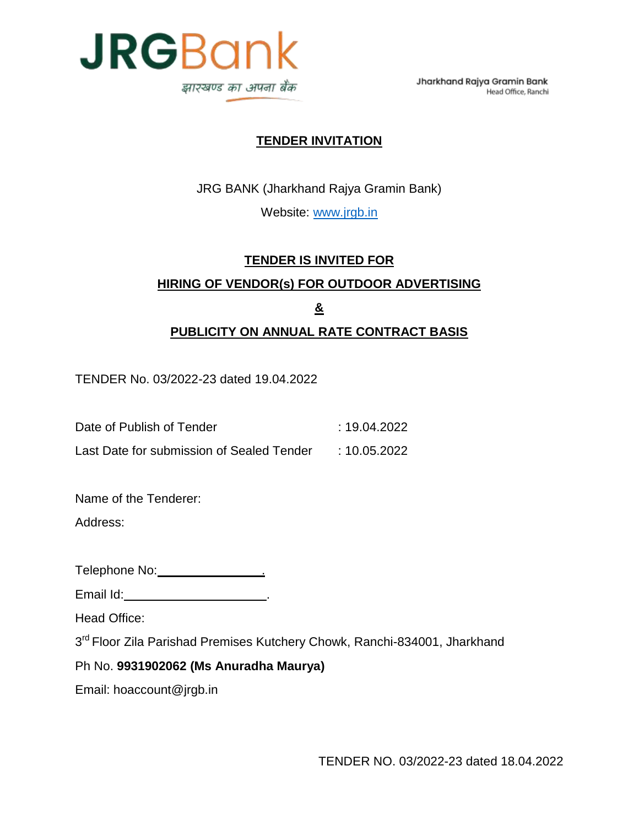

Jharkhand Rajya Gramin Bank Head Office, Ranchi

#### **TENDER INVITATION**

JRG BANK (Jharkhand Rajya Gramin Bank)

Website: [www.jrgb.in](http://www.jrgb.in/)

# **TENDER IS INVITED FOR HIRING OF VENDOR(s) FOR OUTDOOR ADVERTISING & PUBLICITY ON ANNUAL RATE CONTRACT BASIS**

TENDER No. 03/2022-23 dated 19.04.2022

Date of Publish of Tender : 19.04.2022

Last Date for submission of Sealed Tender : 10.05.2022

Name of the Tenderer:

Address:

Telephone No: .

Email Id: .

Head Office:

3<sup>rd</sup> Floor Zila Parishad Premises Kutchery Chowk, Ranchi-834001, Jharkhand

#### Ph No. **9931902062 (Ms Anuradha Maurya)**

Email: hoaccount@jrgb.in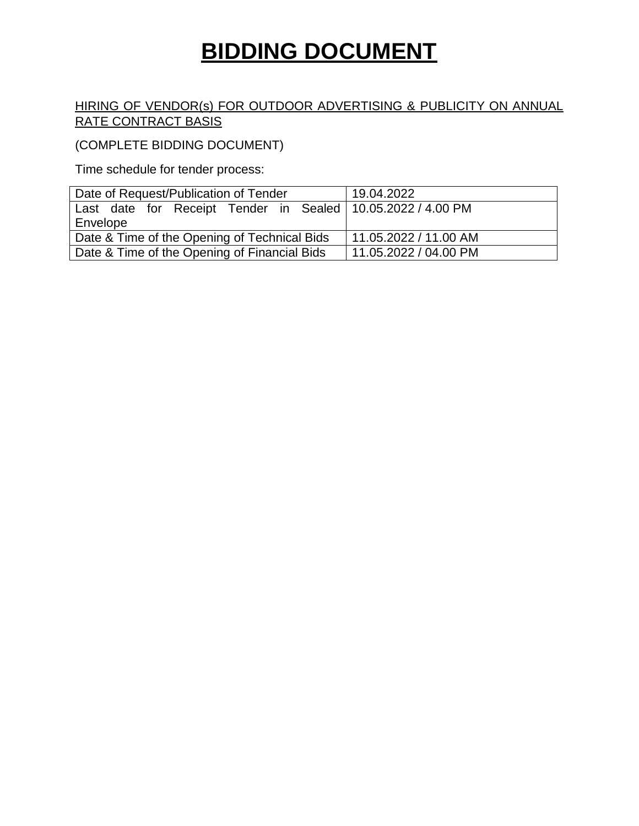# **BIDDING DOCUMENT**

#### HIRING OF VENDOR(s) FOR OUTDOOR ADVERTISING & PUBLICITY ON ANNUAL RATE CONTRACT BASIS

(COMPLETE BIDDING DOCUMENT)

Time schedule for tender process:

| Date of Request/Publication of Tender                         | 19.04.2022            |
|---------------------------------------------------------------|-----------------------|
| Last date for Receipt Tender in Sealed   10.05.2022 / 4.00 PM |                       |
| Envelope                                                      |                       |
| Date & Time of the Opening of Technical Bids                  | 11.05.2022 / 11.00 AM |
| Date & Time of the Opening of Financial Bids                  | 11.05.2022 / 04.00 PM |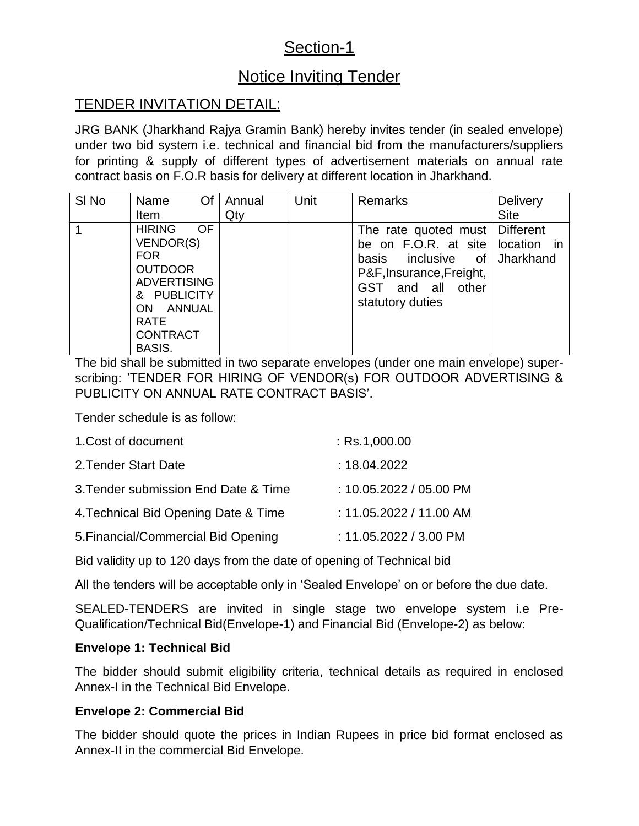# Section-1

# Notice Inviting Tender

# TENDER INVITATION DETAIL:

JRG BANK (Jharkhand Rajya Gramin Bank) hereby invites tender (in sealed envelope) under two bid system i.e. technical and financial bid from the manufacturers/suppliers for printing & supply of different types of advertisement materials on annual rate contract basis on F.O.R basis for delivery at different location in Jharkhand.

| SI <sub>No</sub> | Of<br>Name                                                                                                                                                                             | Annual | Unit | <b>Remarks</b>                                                                                                                                                                | <b>Delivery</b> |
|------------------|----------------------------------------------------------------------------------------------------------------------------------------------------------------------------------------|--------|------|-------------------------------------------------------------------------------------------------------------------------------------------------------------------------------|-----------------|
|                  | Item                                                                                                                                                                                   | Qty    |      |                                                                                                                                                                               | <b>Site</b>     |
|                  | <b>HIRING</b><br><b>OF</b><br>VENDOR(S)<br><b>FOR</b><br><b>OUTDOOR</b><br><b>ADVERTISING</b><br>& PUBLICITY<br>ANNUAL<br><b>ON</b><br><b>RATE</b><br><b>CONTRACT</b><br><b>BASIS.</b> |        |      | The rate quoted must   Different<br>be on F.O.R. at site   location in<br>inclusive<br>0f<br>basis<br>P&F, Insurance, Freight,<br>and all<br>GST<br>other<br>statutory duties | Jharkhand       |

The bid shall be submitted in two separate envelopes (under one main envelope) superscribing: "TENDER FOR HIRING OF VENDOR(s) FOR OUTDOOR ADVERTISING & PUBLICITY ON ANNUAL RATE CONTRACT BASIS".

Tender schedule is as follow:

| 1. Cost of document                  | $:$ Rs.1,000.00           |
|--------------------------------------|---------------------------|
| 2. Tender Start Date                 | : 18.04.2022              |
| 3. Tender submission End Date & Time | : $10.05.2022 / 05.00$ PM |
| 4. Technical Bid Opening Date & Time | : $11.05.2022 / 11.00$ AM |
| 5. Financial/Commercial Bid Opening  | : 11.05.2022 / 3.00 PM    |

Bid validity up to 120 days from the date of opening of Technical bid

All the tenders will be acceptable only in "Sealed Envelope" on or before the due date.

SEALED-TENDERS are invited in single stage two envelope system i.e Pre-Qualification/Technical Bid(Envelope-1) and Financial Bid (Envelope-2) as below:

#### **Envelope 1: Technical Bid**

The bidder should submit eligibility criteria, technical details as required in enclosed Annex-I in the Technical Bid Envelope.

#### **Envelope 2: Commercial Bid**

The bidder should quote the prices in Indian Rupees in price bid format enclosed as Annex-II in the commercial Bid Envelope.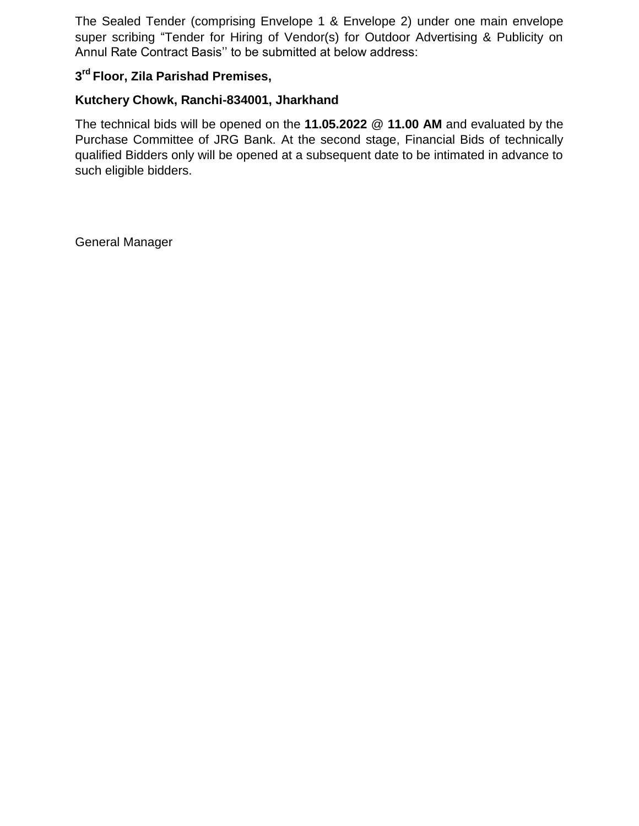The Sealed Tender (comprising Envelope 1 & Envelope 2) under one main envelope super scribing "Tender for Hiring of Vendor(s) for Outdoor Advertising & Publicity on Annul Rate Contract Basis"" to be submitted at below address:

#### **3 rd Floor, Zila Parishad Premises,**

#### **Kutchery Chowk, Ranchi-834001, Jharkhand**

The technical bids will be opened on the **11.05.2022** @ **11.00 AM** and evaluated by the Purchase Committee of JRG Bank. At the second stage, Financial Bids of technically qualified Bidders only will be opened at a subsequent date to be intimated in advance to such eligible bidders.

General Manager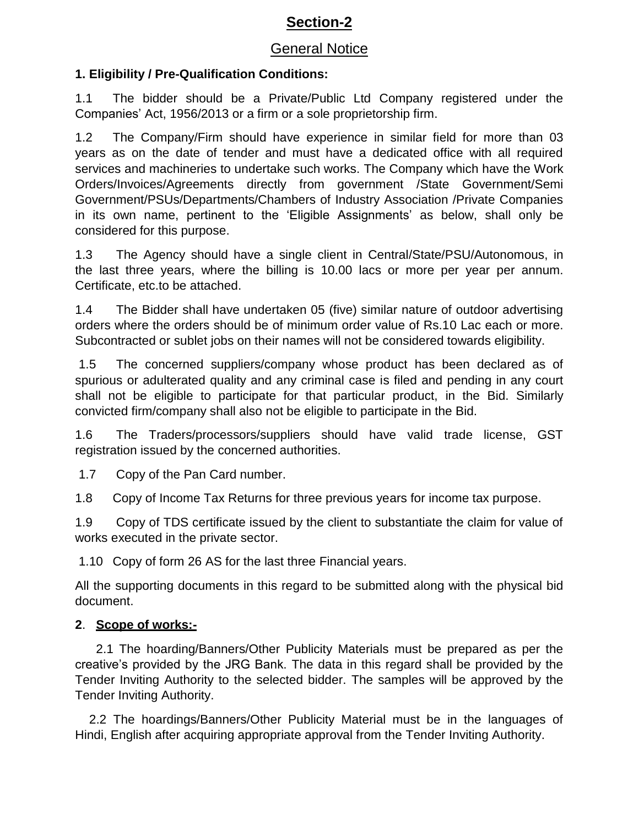# **Section-2**

## General Notice

### **1. Eligibility / Pre-Qualification Conditions:**

1.1 The bidder should be a Private/Public Ltd Company registered under the Companies" Act, 1956/2013 or a firm or a sole proprietorship firm.

1.2 The Company/Firm should have experience in similar field for more than 03 years as on the date of tender and must have a dedicated office with all required services and machineries to undertake such works. The Company which have the Work Orders/Invoices/Agreements directly from government /State Government/Semi Government/PSUs/Departments/Chambers of Industry Association /Private Companies in its own name, pertinent to the 'Eligible Assignments' as below, shall only be considered for this purpose.

1.3 The Agency should have a single client in Central/State/PSU/Autonomous, in the last three years, where the billing is 10.00 lacs or more per year per annum. Certificate, etc.to be attached.

1.4 The Bidder shall have undertaken 05 (five) similar nature of outdoor advertising orders where the orders should be of minimum order value of Rs.10 Lac each or more. Subcontracted or sublet jobs on their names will not be considered towards eligibility.

1.5 The concerned suppliers/company whose product has been declared as of spurious or adulterated quality and any criminal case is filed and pending in any court shall not be eligible to participate for that particular product, in the Bid. Similarly convicted firm/company shall also not be eligible to participate in the Bid.

1.6 The Traders/processors/suppliers should have valid trade license, GST registration issued by the concerned authorities.

1.7 Copy of the Pan Card number.

1.8 Copy of Income Tax Returns for three previous years for income tax purpose.

1.9 Copy of TDS certificate issued by the client to substantiate the claim for value of works executed in the private sector.

1.10 Copy of form 26 AS for the last three Financial years.

All the supporting documents in this regard to be submitted along with the physical bid document.

### **2**. **Scope of works:-**

 2.1 The hoarding/Banners/Other Publicity Materials must be prepared as per the creative"s provided by the JRG Bank. The data in this regard shall be provided by the Tender Inviting Authority to the selected bidder. The samples will be approved by the Tender Inviting Authority.

 2.2 The hoardings/Banners/Other Publicity Material must be in the languages of Hindi, English after acquiring appropriate approval from the Tender Inviting Authority.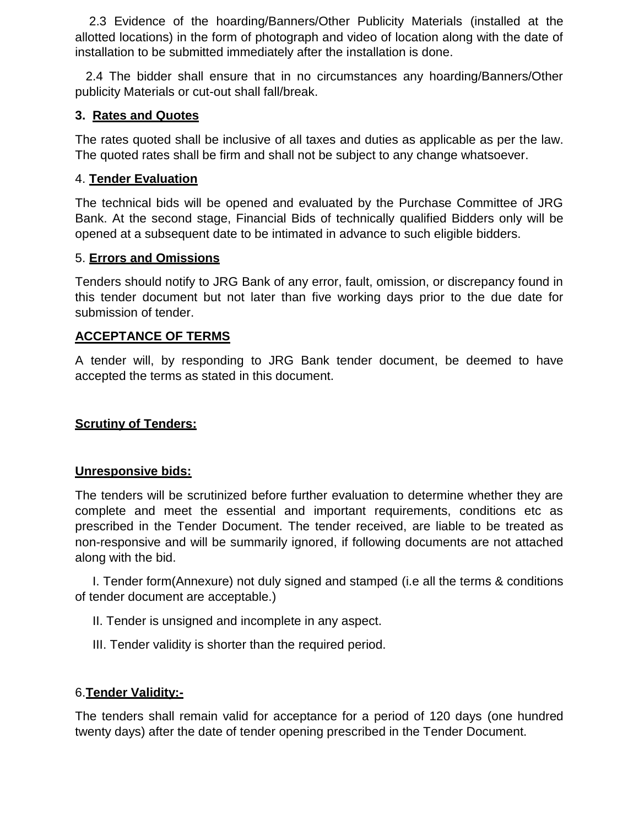2.3 Evidence of the hoarding/Banners/Other Publicity Materials (installed at the allotted locations) in the form of photograph and video of location along with the date of installation to be submitted immediately after the installation is done.

 2.4 The bidder shall ensure that in no circumstances any hoarding/Banners/Other publicity Materials or cut-out shall fall/break.

#### **3. Rates and Quotes**

The rates quoted shall be inclusive of all taxes and duties as applicable as per the law. The quoted rates shall be firm and shall not be subject to any change whatsoever.

#### 4. **Tender Evaluation**

The technical bids will be opened and evaluated by the Purchase Committee of JRG Bank. At the second stage, Financial Bids of technically qualified Bidders only will be opened at a subsequent date to be intimated in advance to such eligible bidders.

#### 5. **Errors and Omissions**

Tenders should notify to JRG Bank of any error, fault, omission, or discrepancy found in this tender document but not later than five working days prior to the due date for submission of tender.

#### **ACCEPTANCE OF TERMS**

A tender will, by responding to JRG Bank tender document, be deemed to have accepted the terms as stated in this document.

#### **Scrutiny of Tenders:**

#### **Unresponsive bids:**

The tenders will be scrutinized before further evaluation to determine whether they are complete and meet the essential and important requirements, conditions etc as prescribed in the Tender Document. The tender received, are liable to be treated as non-responsive and will be summarily ignored, if following documents are not attached along with the bid.

 I. Tender form(Annexure) not duly signed and stamped (i.e all the terms & conditions of tender document are acceptable.)

II. Tender is unsigned and incomplete in any aspect.

III. Tender validity is shorter than the required period.

#### 6.**Tender Validity:-**

The tenders shall remain valid for acceptance for a period of 120 days (one hundred twenty days) after the date of tender opening prescribed in the Tender Document.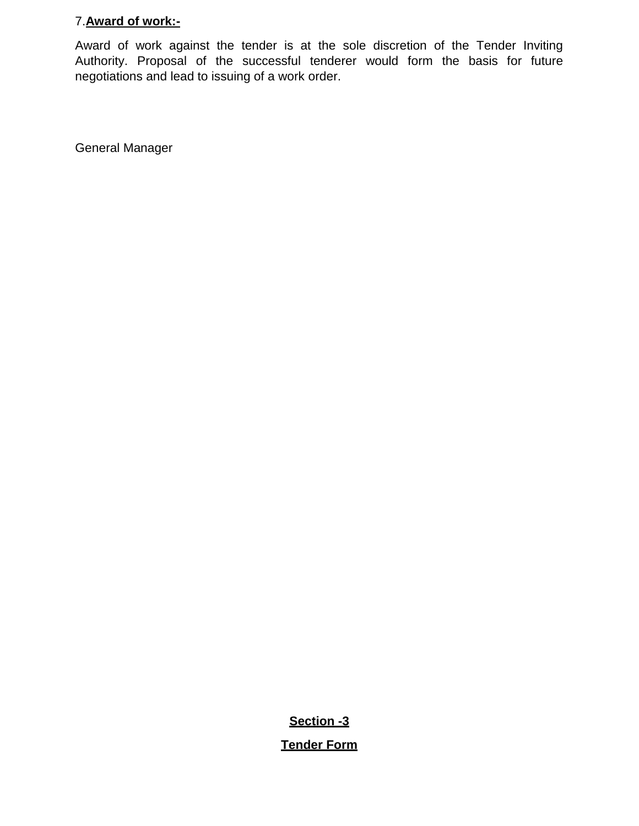#### 7.**Award of work:-**

Award of work against the tender is at the sole discretion of the Tender Inviting Authority. Proposal of the successful tenderer would form the basis for future negotiations and lead to issuing of a work order.

General Manager

**Section -3**

**Tender Form**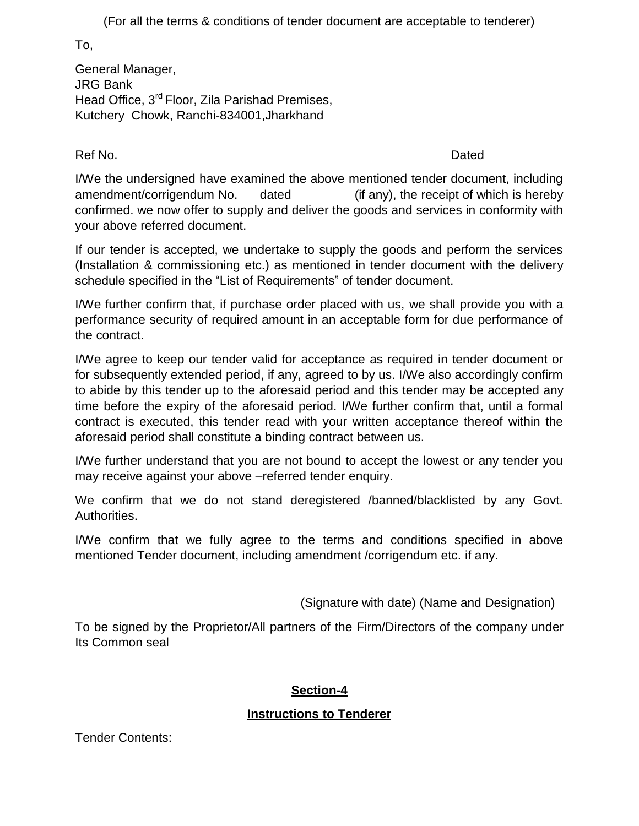(For all the terms & conditions of tender document are acceptable to tenderer)

To,

General Manager, JRG Bank Head Office, 3<sup>rd</sup> Floor, Zila Parishad Premises, Kutchery Chowk, Ranchi-834001,Jharkhand

Ref No. **Dated** 

I/We the undersigned have examined the above mentioned tender document, including amendment/corrigendum No. dated (if any), the receipt of which is hereby confirmed. we now offer to supply and deliver the goods and services in conformity with your above referred document.

If our tender is accepted, we undertake to supply the goods and perform the services (Installation & commissioning etc.) as mentioned in tender document with the delivery schedule specified in the "List of Requirements" of tender document.

I/We further confirm that, if purchase order placed with us, we shall provide you with a performance security of required amount in an acceptable form for due performance of the contract.

I/We agree to keep our tender valid for acceptance as required in tender document or for subsequently extended period, if any, agreed to by us. I/We also accordingly confirm to abide by this tender up to the aforesaid period and this tender may be accepted any time before the expiry of the aforesaid period. I/We further confirm that, until a formal contract is executed, this tender read with your written acceptance thereof within the aforesaid period shall constitute a binding contract between us.

I/We further understand that you are not bound to accept the lowest or any tender you may receive against your above –referred tender enquiry.

We confirm that we do not stand deregistered /banned/blacklisted by any Govt. Authorities.

I/We confirm that we fully agree to the terms and conditions specified in above mentioned Tender document, including amendment /corrigendum etc. if any.

(Signature with date) (Name and Designation)

To be signed by the Proprietor/All partners of the Firm/Directors of the company under Its Common seal

### **Section-4**

### **Instructions to Tenderer**

Tender Contents: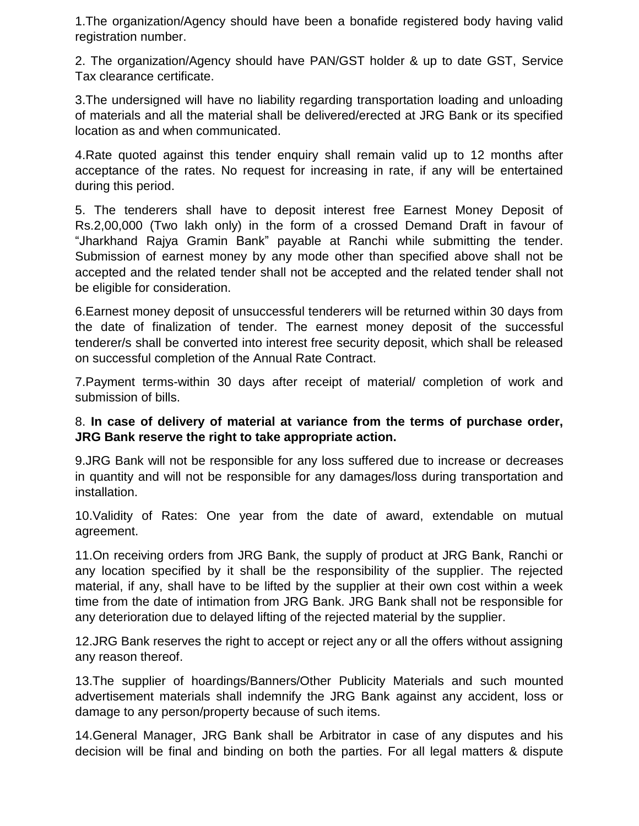1.The organization/Agency should have been a bonafide registered body having valid registration number.

2. The organization/Agency should have PAN/GST holder & up to date GST, Service Tax clearance certificate.

3.The undersigned will have no liability regarding transportation loading and unloading of materials and all the material shall be delivered/erected at JRG Bank or its specified location as and when communicated.

4.Rate quoted against this tender enquiry shall remain valid up to 12 months after acceptance of the rates. No request for increasing in rate, if any will be entertained during this period.

5. The tenderers shall have to deposit interest free Earnest Money Deposit of Rs.2,00,000 (Two lakh only) in the form of a crossed Demand Draft in favour of "Jharkhand Rajya Gramin Bank" payable at Ranchi while submitting the tender. Submission of earnest money by any mode other than specified above shall not be accepted and the related tender shall not be accepted and the related tender shall not be eligible for consideration.

6.Earnest money deposit of unsuccessful tenderers will be returned within 30 days from the date of finalization of tender. The earnest money deposit of the successful tenderer/s shall be converted into interest free security deposit, which shall be released on successful completion of the Annual Rate Contract.

7.Payment terms-within 30 days after receipt of material/ completion of work and submission of bills.

#### 8. **In case of delivery of material at variance from the terms of purchase order, JRG Bank reserve the right to take appropriate action.**

9.JRG Bank will not be responsible for any loss suffered due to increase or decreases in quantity and will not be responsible for any damages/loss during transportation and installation.

10.Validity of Rates: One year from the date of award, extendable on mutual agreement.

11.On receiving orders from JRG Bank, the supply of product at JRG Bank, Ranchi or any location specified by it shall be the responsibility of the supplier. The rejected material, if any, shall have to be lifted by the supplier at their own cost within a week time from the date of intimation from JRG Bank. JRG Bank shall not be responsible for any deterioration due to delayed lifting of the rejected material by the supplier.

12.JRG Bank reserves the right to accept or reject any or all the offers without assigning any reason thereof.

13.The supplier of hoardings/Banners/Other Publicity Materials and such mounted advertisement materials shall indemnify the JRG Bank against any accident, loss or damage to any person/property because of such items.

14.General Manager, JRG Bank shall be Arbitrator in case of any disputes and his decision will be final and binding on both the parties. For all legal matters & dispute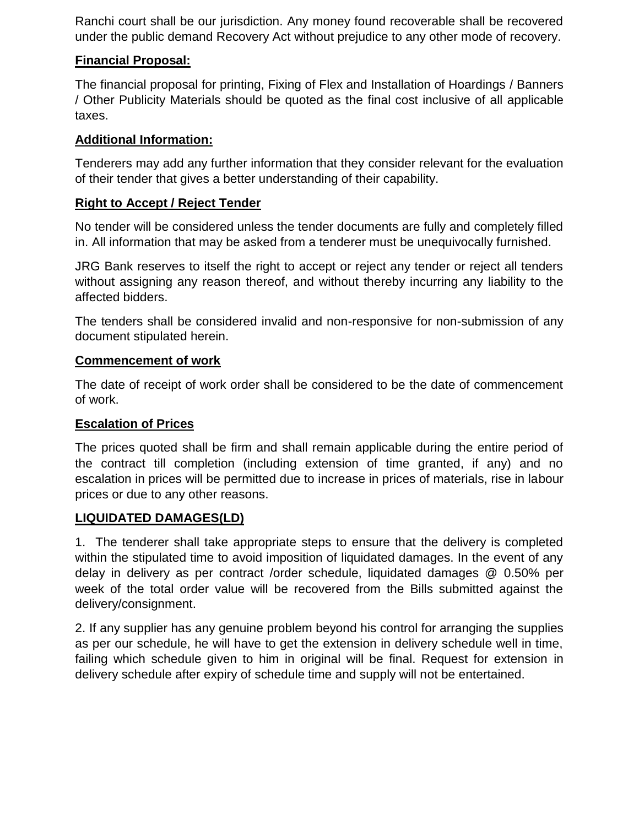Ranchi court shall be our jurisdiction. Any money found recoverable shall be recovered under the public demand Recovery Act without prejudice to any other mode of recovery.

#### **Financial Proposal:**

The financial proposal for printing, Fixing of Flex and Installation of Hoardings / Banners / Other Publicity Materials should be quoted as the final cost inclusive of all applicable taxes.

### **Additional Information:**

Tenderers may add any further information that they consider relevant for the evaluation of their tender that gives a better understanding of their capability.

#### **Right to Accept / Reject Tender**

No tender will be considered unless the tender documents are fully and completely filled in. All information that may be asked from a tenderer must be unequivocally furnished.

JRG Bank reserves to itself the right to accept or reject any tender or reject all tenders without assigning any reason thereof, and without thereby incurring any liability to the affected bidders.

The tenders shall be considered invalid and non-responsive for non-submission of any document stipulated herein.

#### **Commencement of work**

The date of receipt of work order shall be considered to be the date of commencement of work.

#### **Escalation of Prices**

The prices quoted shall be firm and shall remain applicable during the entire period of the contract till completion (including extension of time granted, if any) and no escalation in prices will be permitted due to increase in prices of materials, rise in labour prices or due to any other reasons.

#### **LIQUIDATED DAMAGES(LD)**

1. The tenderer shall take appropriate steps to ensure that the delivery is completed within the stipulated time to avoid imposition of liquidated damages. In the event of any delay in delivery as per contract /order schedule, liquidated damages @ 0.50% per week of the total order value will be recovered from the Bills submitted against the delivery/consignment.

2. If any supplier has any genuine problem beyond his control for arranging the supplies as per our schedule, he will have to get the extension in delivery schedule well in time, failing which schedule given to him in original will be final. Request for extension in delivery schedule after expiry of schedule time and supply will not be entertained.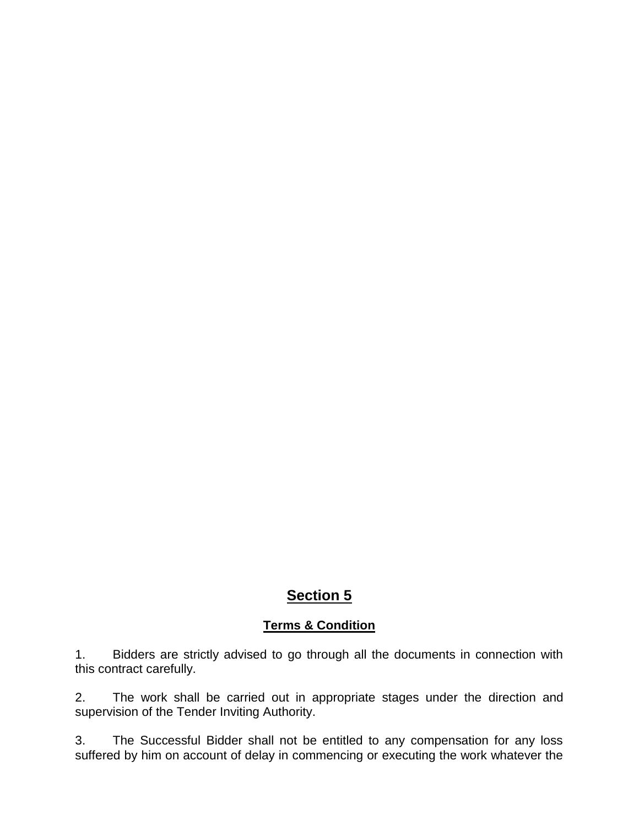# **Section 5**

#### **Terms & Condition**

1. Bidders are strictly advised to go through all the documents in connection with this contract carefully.

2. The work shall be carried out in appropriate stages under the direction and supervision of the Tender Inviting Authority.

3. The Successful Bidder shall not be entitled to any compensation for any loss suffered by him on account of delay in commencing or executing the work whatever the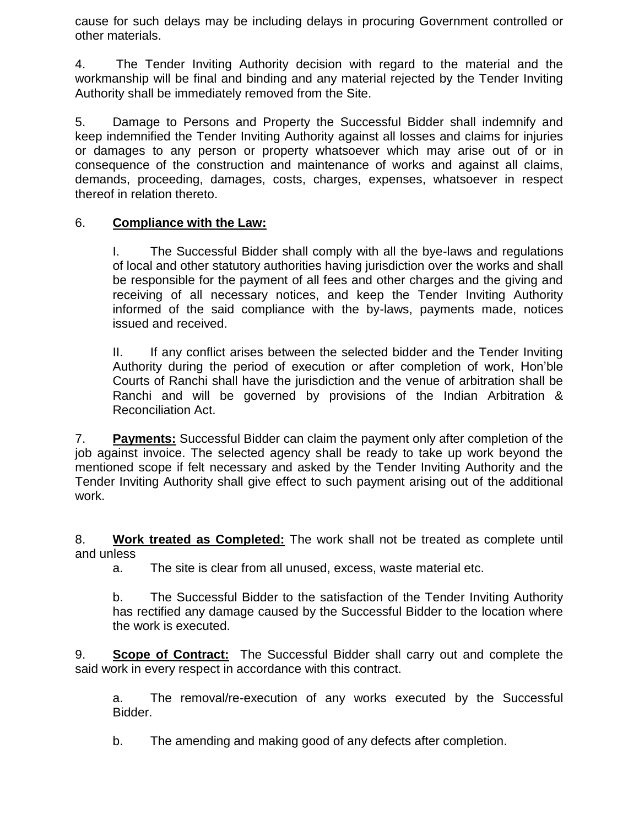cause for such delays may be including delays in procuring Government controlled or other materials.

4. The Tender Inviting Authority decision with regard to the material and the workmanship will be final and binding and any material rejected by the Tender Inviting Authority shall be immediately removed from the Site.

5. Damage to Persons and Property the Successful Bidder shall indemnify and keep indemnified the Tender Inviting Authority against all losses and claims for injuries or damages to any person or property whatsoever which may arise out of or in consequence of the construction and maintenance of works and against all claims, demands, proceeding, damages, costs, charges, expenses, whatsoever in respect thereof in relation thereto.

#### 6. **Compliance with the Law:**

I. The Successful Bidder shall comply with all the bye-laws and regulations of local and other statutory authorities having jurisdiction over the works and shall be responsible for the payment of all fees and other charges and the giving and receiving of all necessary notices, and keep the Tender Inviting Authority informed of the said compliance with the by-laws, payments made, notices issued and received.

II. If any conflict arises between the selected bidder and the Tender Inviting Authority during the period of execution or after completion of work, Hon"ble Courts of Ranchi shall have the jurisdiction and the venue of arbitration shall be Ranchi and will be governed by provisions of the Indian Arbitration & Reconciliation Act.

7. **Payments:** Successful Bidder can claim the payment only after completion of the job against invoice. The selected agency shall be ready to take up work beyond the mentioned scope if felt necessary and asked by the Tender Inviting Authority and the Tender Inviting Authority shall give effect to such payment arising out of the additional work.

8. **Work treated as Completed:** The work shall not be treated as complete until and unless

a. The site is clear from all unused, excess, waste material etc.

b. The Successful Bidder to the satisfaction of the Tender Inviting Authority has rectified any damage caused by the Successful Bidder to the location where the work is executed.

9. **Scope of Contract:** The Successful Bidder shall carry out and complete the said work in every respect in accordance with this contract.

a. The removal/re-execution of any works executed by the Successful Bidder.

b. The amending and making good of any defects after completion.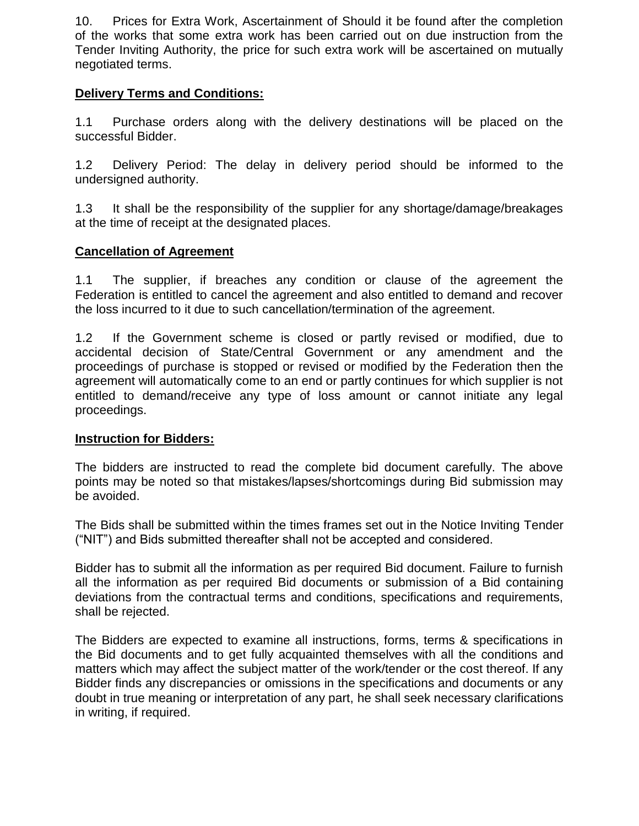10. Prices for Extra Work, Ascertainment of Should it be found after the completion of the works that some extra work has been carried out on due instruction from the Tender Inviting Authority, the price for such extra work will be ascertained on mutually negotiated terms.

#### **Delivery Terms and Conditions:**

1.1 Purchase orders along with the delivery destinations will be placed on the successful Bidder.

1.2 Delivery Period: The delay in delivery period should be informed to the undersigned authority.

1.3 It shall be the responsibility of the supplier for any shortage/damage/breakages at the time of receipt at the designated places.

#### **Cancellation of Agreement**

1.1 The supplier, if breaches any condition or clause of the agreement the Federation is entitled to cancel the agreement and also entitled to demand and recover the loss incurred to it due to such cancellation/termination of the agreement.

1.2 If the Government scheme is closed or partly revised or modified, due to accidental decision of State/Central Government or any amendment and the proceedings of purchase is stopped or revised or modified by the Federation then the agreement will automatically come to an end or partly continues for which supplier is not entitled to demand/receive any type of loss amount or cannot initiate any legal proceedings.

#### **Instruction for Bidders:**

The bidders are instructed to read the complete bid document carefully. The above points may be noted so that mistakes/lapses/shortcomings during Bid submission may be avoided.

The Bids shall be submitted within the times frames set out in the Notice Inviting Tender ("NIT") and Bids submitted thereafter shall not be accepted and considered.

Bidder has to submit all the information as per required Bid document. Failure to furnish all the information as per required Bid documents or submission of a Bid containing deviations from the contractual terms and conditions, specifications and requirements, shall be rejected.

The Bidders are expected to examine all instructions, forms, terms & specifications in the Bid documents and to get fully acquainted themselves with all the conditions and matters which may affect the subject matter of the work/tender or the cost thereof. If any Bidder finds any discrepancies or omissions in the specifications and documents or any doubt in true meaning or interpretation of any part, he shall seek necessary clarifications in writing, if required.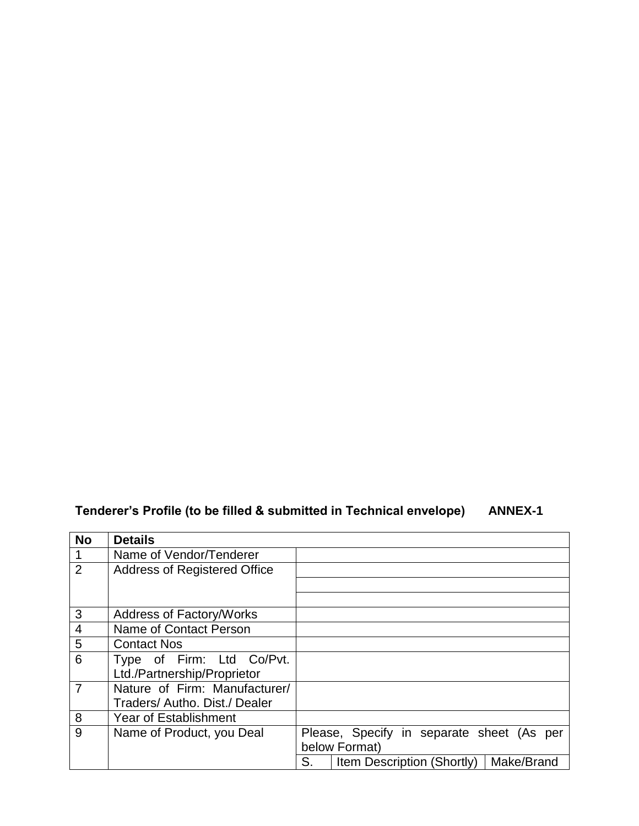# **Tenderer's Profile (to be filled & submitted in Technical envelope) ANNEX-1**

| <b>No</b>       | <b>Details</b>                      |                                                       |  |  |  |  |
|-----------------|-------------------------------------|-------------------------------------------------------|--|--|--|--|
| $\overline{1}$  | Name of Vendor/Tenderer             |                                                       |  |  |  |  |
| $\overline{2}$  | <b>Address of Registered Office</b> |                                                       |  |  |  |  |
|                 |                                     |                                                       |  |  |  |  |
|                 |                                     |                                                       |  |  |  |  |
| $\mathbf{3}$    | <b>Address of Factory/Works</b>     |                                                       |  |  |  |  |
| $\overline{4}$  | Name of Contact Person              |                                                       |  |  |  |  |
| $5\phantom{1}$  | <b>Contact Nos</b>                  |                                                       |  |  |  |  |
| $6\phantom{1}6$ | Type of Firm: Ltd Co/Pvt.           |                                                       |  |  |  |  |
|                 | Ltd./Partnership/Proprietor         |                                                       |  |  |  |  |
| $\overline{7}$  | Nature of Firm: Manufacturer/       |                                                       |  |  |  |  |
|                 | Traders/Autho, Dist./Dealer         |                                                       |  |  |  |  |
| 8               | <b>Year of Establishment</b>        |                                                       |  |  |  |  |
| 9               | Name of Product, you Deal           | Please, Specify in separate sheet (As per             |  |  |  |  |
|                 |                                     | below Format)                                         |  |  |  |  |
|                 |                                     | S.<br>Make/Brand<br><b>Item Description (Shortly)</b> |  |  |  |  |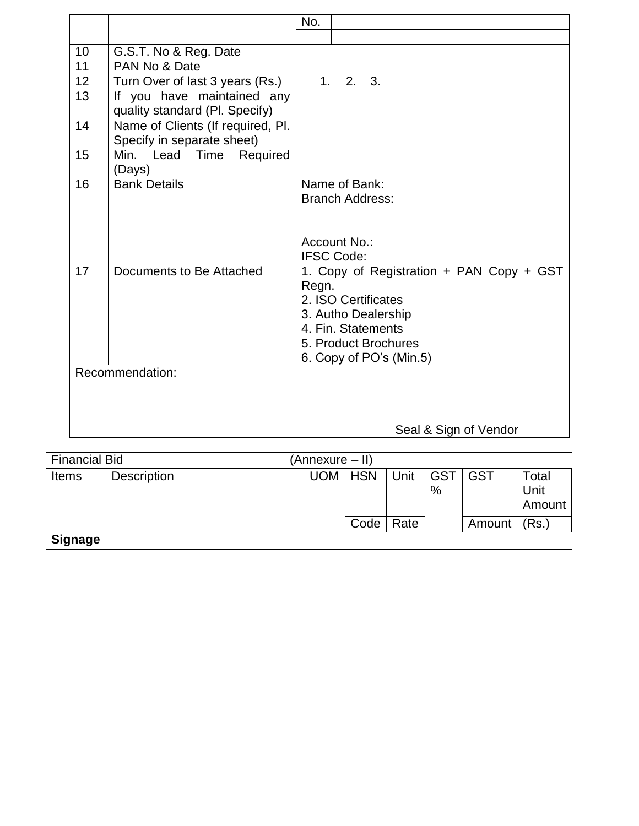|    |                                                                 | No.                                                                                                                                                                      |
|----|-----------------------------------------------------------------|--------------------------------------------------------------------------------------------------------------------------------------------------------------------------|
|    |                                                                 |                                                                                                                                                                          |
| 10 | G.S.T. No & Reg. Date                                           |                                                                                                                                                                          |
| 11 | PAN No & Date                                                   |                                                                                                                                                                          |
| 12 | Turn Over of last 3 years (Rs.)                                 | 2.<br>1.<br>3.                                                                                                                                                           |
| 13 | If you have maintained any<br>quality standard (Pl. Specify)    |                                                                                                                                                                          |
| 14 | Name of Clients (If required, Pl.<br>Specify in separate sheet) |                                                                                                                                                                          |
| 15 | Min. Lead Time<br>Required<br>(Days)                            |                                                                                                                                                                          |
| 16 | <b>Bank Details</b>                                             | Name of Bank:<br><b>Branch Address:</b><br>Account No.:                                                                                                                  |
|    |                                                                 | <b>IFSC Code:</b>                                                                                                                                                        |
| 17 | Documents to Be Attached                                        | 1. Copy of Registration + PAN Copy + GST<br>Regn.<br>2. ISO Certificates<br>3. Autho Dealership<br>4. Fin. Statements<br>5. Product Brochures<br>6. Copy of PO's (Min.5) |
|    | Recommendation:                                                 |                                                                                                                                                                          |
|    |                                                                 | Seal & Sign of Vendor                                                                                                                                                    |

| <b>Financial Bid</b> |                    | (Annexure – II) |            |      |                    |            |                                          |
|----------------------|--------------------|-----------------|------------|------|--------------------|------------|------------------------------------------|
| <b>Items</b>         | <b>Description</b> | <b>UOM</b>      | <b>HSN</b> | Unit | <b>GST</b><br>$\%$ | <b>GST</b> | $\tau$ <sub>otal</sub><br>Unit<br>Amount |
|                      |                    |                 | Code       | Rate |                    | Amount     | (Rs.)                                    |
| <b>Signage</b>       |                    |                 |            |      |                    |            |                                          |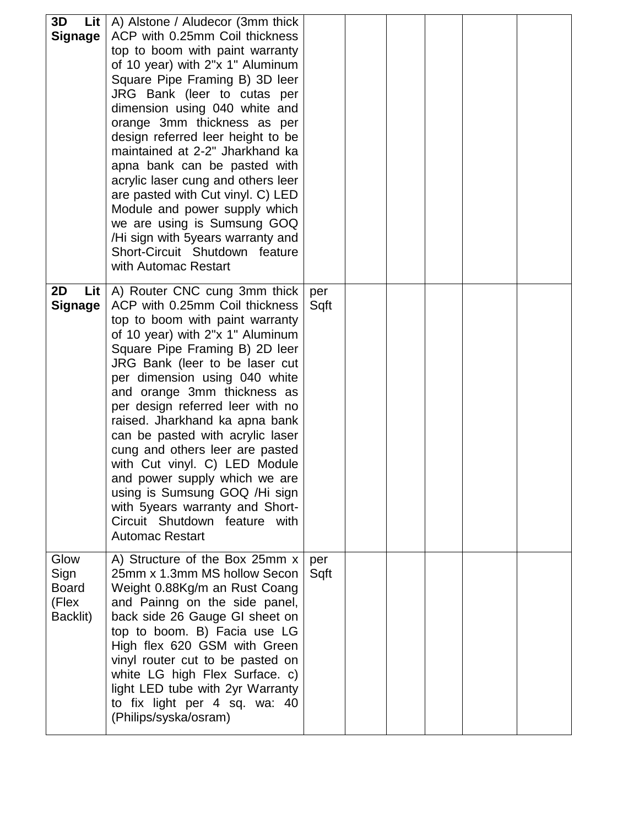| 3D<br>Signage                                     | <b>Lit</b> $\mid$ A) Alstone / Aludecor (3mm thick<br>ACP with 0.25mm Coil thickness<br>top to boom with paint warranty<br>of 10 year) with 2"x 1" Aluminum<br>Square Pipe Framing B) 3D leer<br>JRG Bank (leer to cutas per<br>dimension using 040 white and<br>orange 3mm thickness as per<br>design referred leer height to be<br>maintained at 2-2" Jharkhand ka<br>apna bank can be pasted with<br>acrylic laser cung and others leer<br>are pasted with Cut vinyl. C) LED<br>Module and power supply which<br>we are using is Sumsung GOQ<br>/Hi sign with 5years warranty and<br>Short-Circuit Shutdown feature<br>with Automac Restart |             |  |  |  |
|---------------------------------------------------|------------------------------------------------------------------------------------------------------------------------------------------------------------------------------------------------------------------------------------------------------------------------------------------------------------------------------------------------------------------------------------------------------------------------------------------------------------------------------------------------------------------------------------------------------------------------------------------------------------------------------------------------|-------------|--|--|--|
| 2D<br>Lit<br>Signage                              | A) Router CNC cung 3mm thick<br>ACP with 0.25mm Coil thickness<br>top to boom with paint warranty<br>of 10 year) with 2"x 1" Aluminum<br>Square Pipe Framing B) 2D leer<br>JRG Bank (leer to be laser cut<br>per dimension using 040 white<br>and orange 3mm thickness as<br>per design referred leer with no<br>raised. Jharkhand ka apna bank<br>can be pasted with acrylic laser<br>cung and others leer are pasted<br>with Cut vinyl. C) LED Module<br>and power supply which we are<br>using is Sumsung GOQ /Hi sign<br>with 5years warranty and Short-<br>Circuit Shutdown feature with<br><b>Automac Restart</b>                        | per<br>Sqft |  |  |  |
| Glow<br>Sign<br><b>Board</b><br>(Flex<br>Backlit) | A) Structure of the Box 25mm x<br>25mm x 1.3mm MS hollow Secon<br>Weight 0.88Kg/m an Rust Coang<br>and Painng on the side panel,<br>back side 26 Gauge GI sheet on<br>top to boom. B) Facia use LG<br>High flex 620 GSM with Green<br>vinyl router cut to be pasted on<br>white LG high Flex Surface. c)<br>light LED tube with 2yr Warranty<br>to fix light per 4 sq. wa: 40<br>(Philips/syska/osram)                                                                                                                                                                                                                                         | per<br>Sqft |  |  |  |